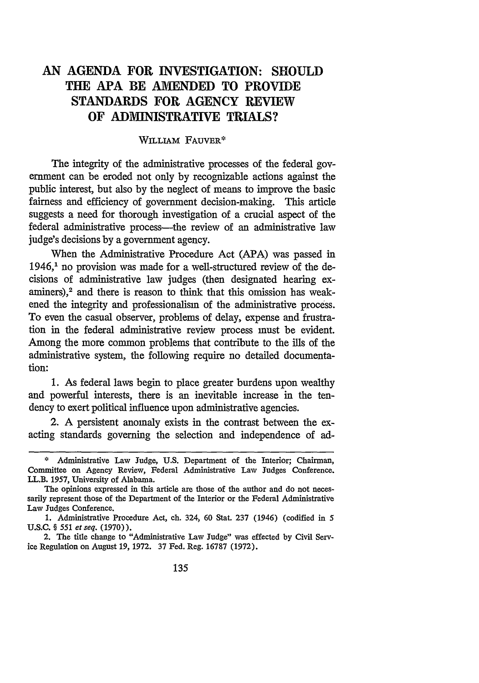# **AN AGENDA FOR INVESTIGATION: SHOULD THE APA BE AMENDED TO PROVIDE STANDARDS FOR AGENCY REVIEW OF ADMINISTRATIVE TRIALS?**

# WILLIAM FAUVER\*

The integrity of the administrative processes of the federal government can be eroded not only by recognizable actions against the public interest, but also by the neglect of means to improve the basic fairness and efficiency of government decision-making. This article suggests a need for thorough investigation of a crucial aspect of the federal administrative process—the review of an administrative law judge's decisions by a government agency.

When the Administrative Procedure Act (APA) was passed in 1946,1 no provision was made for a well-structured review of the decisions of administrative law judges (then designated hearing examiners),<sup>2</sup> and there is reason to think that this omission has weakened the integrity and professionalism of the administrative process. To even the casual observer, problems of delay, expense and frustration in the federal administrative review process must be evident. Among the more common problems that contribute to the ills of the administrative system, the following require no detailed documentation:

**1.** As federal laws begin to place greater burdens upon wealthy and powerful interests, there is an inevitable increase in the tendency to exert political influence upon administrative agencies.

2. A persistent anomaly exists in the contrast between the exacting standards governing the selection and independence of ad-

**<sup>\*</sup>** Administrative Law Judge, U.S. Department of the Interior; Chairman, Committee on Agency Review, Federal Administrative Law Judges Conference. LL.B. 1957, University of Alabama.

The opinions expressed in this article are those of the author and do not necessarily represent those of the Department of the Interior or the Federal Administrative Law Judges Conference.

<sup>1.</sup> Administrative Procedure Act, ch. 324, 60 Stat. 237 (1946) (codified in 5 U.S.C. § 551 et seq. (1970)).

<sup>2.</sup> The title change to "Administrative Law Judge" was effected by Civil Service Regulation on August 19, 1972. 37 Fed. Reg. 16787 (1972).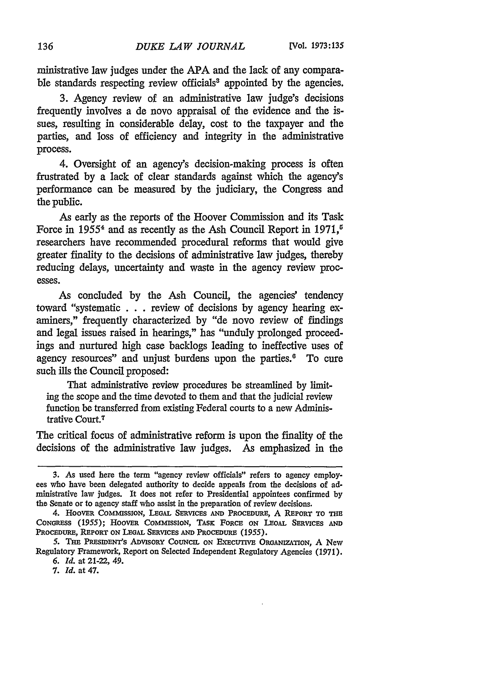ministrative law judges under the **APA** and the lack of any comparable standards respecting review officials<sup>8</sup> appointed by the agencies.

3. Agency review of an administrative law judge's decisions frequently involves a de novo appraisal of the evidence and the issues, resulting in considerable delay, cost to the taxpayer and the parties, and loss of efficiency and integrity in the administrative process.

4. Oversight of an agency's decision-making process is often frustrated by a lack of clear standards against which the agency's performance can be measured by the judiciary, the Congress and the public.

As early as the reports of the Hoover Commission and its Task Force in 1955<sup>4</sup> and as recently as the Ash Council Report in 1971,<sup> $\sigma$ </sup> researchers have recommended procedural reforms that would give greater finality to the decisions of administrative law judges, thereby reducing delays, uncertainty and waste in the agency review processes.

As concluded by the Ash Council, the agencies' tendency toward "systematic . . . review of decisions by agency hearing examiners," frequently characterized by "de novo review of findings and legal issues raised in hearings," has "unduly prolonged proceedings and nurtured high case backlogs leading to ineffective uses of agency resources" and unjust burdens upon the parties.<sup>6</sup> To cure such ills the Council proposed:

That administrative review procedures be streamlined by limiting the scope and the time devoted to them and that the judicial review function be transferred from existing Federal courts to a new Administrative Court.7

The critical focus of administrative reform is upon the finality of the decisions of the administrative law judges. As emphasized in the

<sup>3.</sup> As used here the term "agency review officials" refers to agency employees who have been delegated authority to decide appeals from the decisions of administrative law judges. It does not refer to Presidential appointees confirmed by the Senate or to agency staff who assist in the preparation of review decisions.

<sup>4.</sup> HOOvER COMMSSION, **LEGAL** SERVICES **AND** PROCEDURE, A **REPORT** TO THE **CONGRESS (1955);** HOOVER CoMMIssIoN, TAsK FORCE **ON LEGAL SERVICES AND PROCEDURE, REPORT** ON **LEGAL SERVICES AND** PROCEDURE **(1955).**

**<sup>5.</sup>** TAE **PREsIDENT's** ADVISORY CoUNcIL **ON** FEcunvE ORGANIZATION, **A** New Regulatory Framework, Report on Selected Independent Regulatory Agencies (1971).

**<sup>6.</sup>** *Id.* at 21-22, 49.

**<sup>7.</sup>** *Id.* at 47.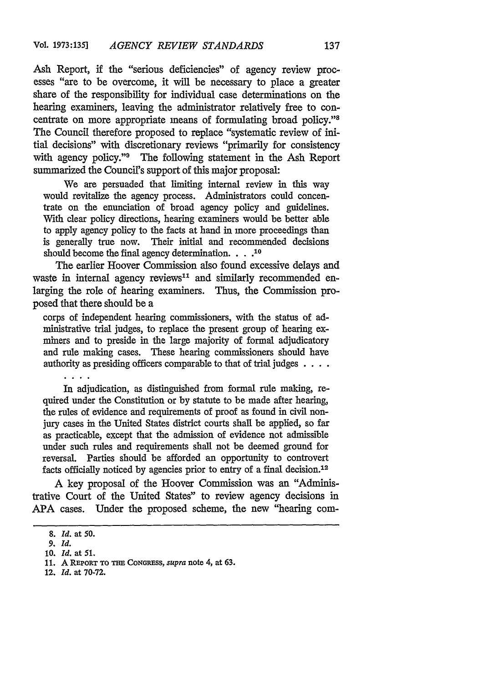Ash Report, if the "serious deficiencies" of agency review processes "are to be overcome, it will be necessary to place a greater share of the responsibility for individual case determinations on the hearing examiners, leaving the administrator relatively free to concentrate on more appropriate means of formulating broad policy."8 The Council therefore proposed to replace "systematic review of initial decisions" with discretionary reviews "primarily for consistency with agency policy."<sup>9</sup> The following statement in the Ash Report summarized the Council's support of this major proposal:

We are persuaded that limiting internal review in this way would revitalize the agency process. Administrators could concentrate on the enunciation of broad agency policy and guidelines. With clear policy directions, hearing examiners would be better able to apply agency policy to the facts at hand in more proceedings than is generally true now. Their initial and recommended decisions should become the final agency determination. **.... 10**

The earlier Hoover Commission also found excessive delays and waste in internal agency reviews<sup>11</sup> and similarly recommended enlarging the role of hearing examiners. Thus, the Commission proposed that there should be a

corps of independent hearing commissioners, with the status of ad-<br>ministrative trial judges, to replace the present group of hearing exminers and to preside in the large majority of formal adjudicatory and rule making cases. These hearing commissioners should have authority as presiding officers comparable to that of trial judges **....**

In adjudication, as distinguished from formal rule making, required under the Constitution or by statute to be made after hearing, the rules of evidence and requirements of proof as found in civil nonjury cases in the United States district courts shall be applied, so far as practicable, except that the admission of evidence not admissible under such rules and requirements shall not be deemed ground for reversal. Parties should be afforded an opportunity to controvert facts officially noticed by agencies prior to entry of a final decision.<sup>12</sup>

A key proposal of the Hoover Commission was an "Administrative Court of the United States" to review agency decisions in **APA** cases. Under the proposed scheme, the new "hearing com-

12. **Id.** at 70-72.

<sup>8.</sup> **Id.** at **50.**

*<sup>9.</sup>* **Id.**

**<sup>10.</sup> Id.** at **51.**

**<sup>11.</sup> A** REPORT **TO TE CONGRESS,** *supra* note 4, at **63.**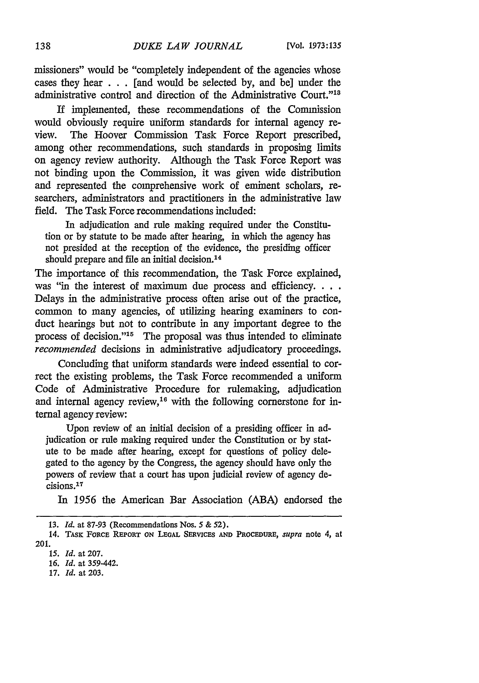missioners" would be "completely independent of the agencies whose cases they hear . . . [and would be selected by, and be] under the administrative control and direction of the Administrative Court."<sup>18</sup>

If implemented, these recommendations of the Commission would obviously require uniform standards for internal agency review. The Hoover Commission Task Force Report prescribed, among other recommendations, such standards in proposing limits on agency review authority. Although the Task Force Report was not binding upon the Commission, it was given wide distribution and represented the comprehensive work of eminent scholars, researchers, administrators and practitioners in the administrative law field. The Task Force recommendations included:

In adjudication and rule making required under the Constitution or by statute to be made after hearing, in which the agency has not presided at the reception of the evidence, the presiding officer should prepare and file an initial decision.<sup>14</sup>

The importance of this recommendation, the Task Force explained, was "in the interest of maximum due process and efficiency. . . . Delays in the administrative process often arise out of the practice, common to many agencies, of utilizing hearing examiners to conduct hearings but not to contribute in any important degree to the process of decision."<sup>15</sup> The proposal was thus intended to eliminate *recommended* decisions in administrative adjudicatory proceedings.

Concluding that uniform standards were indeed essential to correct the existing problems, the Task Force recommended a uniform Code of Administrative Procedure for rulemaking, adjudication and internal agency review,<sup>16</sup> with the following cornerstone for internal agency review:

Upon review of an initial decision of a presiding officer in adjudication or rule making required under the Constitution or by statute to be made after hearing, except for questions of policy delegated to the agency by the Congress, the agency should have only the powers of review that a court has upon judicial review of agency de- $\tilde{c}$ isions.<sup>17</sup>

In 1956 the American Bar Association (ABA) endorsed the

**<sup>13.</sup>** *Id.* at 87-93 (Recommendations Nos. *5* **& 52).**

<sup>14.</sup> TASK **FORCE REPORT ON LEGAL** SERVICES **AND** PROCEDURE, *supra* note 4, at 201.

*<sup>15.</sup> Id.* at **207.**

**<sup>16.</sup>** *Id.* at 359-442.

**<sup>17.</sup>** *Id.* at **203.**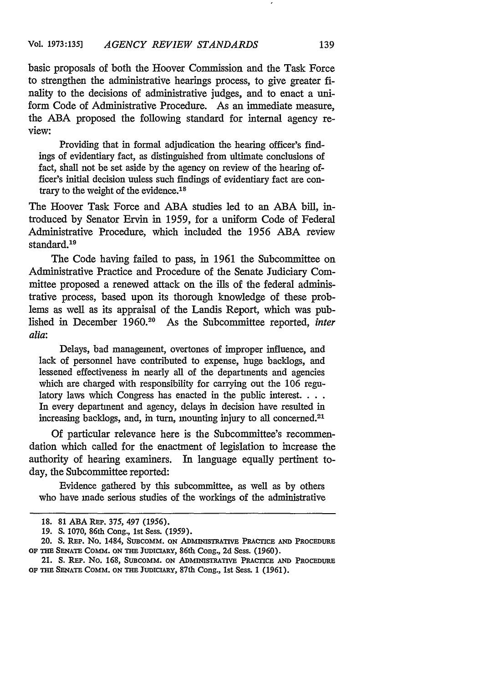basic proposals of both the Hoover Commission and the Task Force to strengthen the administrative hearings process, to give greater finality to the decisions of administrative judges, and to enact a uniform Code of Administrative Procedure. As an immediate measure, the ABA proposed the following standard for internal agency review:

Providing that in formal adjudication the hearing officer's findings of evidentiary fact, as distinguished from ultimate conclusions of fact, shall not be set aside by the agency on review of the hearing officer's initial decision unless such findings of evidentiary fact are contrary to the weight of the evidence.<sup>18</sup>

The Hoover Task Force and ABA studies led to an ABA bill, introduced by Senator Ervin in 1959, for a uniform Code of Federal Administrative Procedure, which included the 1956 ABA review standard.<sup>19</sup>

The Code having failed to pass, in 1961 the Subcommittee on Administrative Practice and Procedure of the Senate Judiciary Committee proposed a renewed attack on the ills of the federal administrative process, based upon its thorough knowledge of these problems as well as its appraisal of the Landis Report, which was published in December 1960.20 As the Subcommittee reported, *inter alia:*

Delays, bad management, overtones of improper influence, and lack of personnel have contributed to expense, huge backlogs, and lessened effectiveness in nearly all of the departments and agencies which are charged with responsibility for carrying out the 106 regulatory laws which Congress has enacted in the public interest.  $\ldots$ In every department and agency, delays in decision have resulted in increasing backlogs, and, in turn, mounting injury to all concerned. <sup>21</sup>

Of particular relevance here is the Subcommittee's recommendation which called for the enactment of legislation to increase the authority of hearing examiners. In language equally pertinent today, the Subcommittee reported:

Evidence gathered by this subcommittee, as well as by others who have made serious studies of the workings of the administrative

<sup>18. 81</sup> ABA **REP.** 375, 497 (1956).

<sup>19.</sup> S. 1070, 86th Cong., 1st Sess. (1959).

<sup>20.</sup> **S. REP. No.** 1484, **SUBCOMM. ON ADMINISTRATIVE PRACTICE AND PROCEDURE** OF THE **SENATE** Comm. ON **THE JtDICIARY,** 86th Cong., 2d Sess. (1960).

<sup>21.</sup> S. REP. No. 168, **SUBCOMM.** ON **ADMINISTRATIVE PRACTICE AND** PROCEDURE **OF THE SENATE COMM. ON THE JUDICIARY,** 87th **Cong.,** 1st **Sess.** 1 (1961).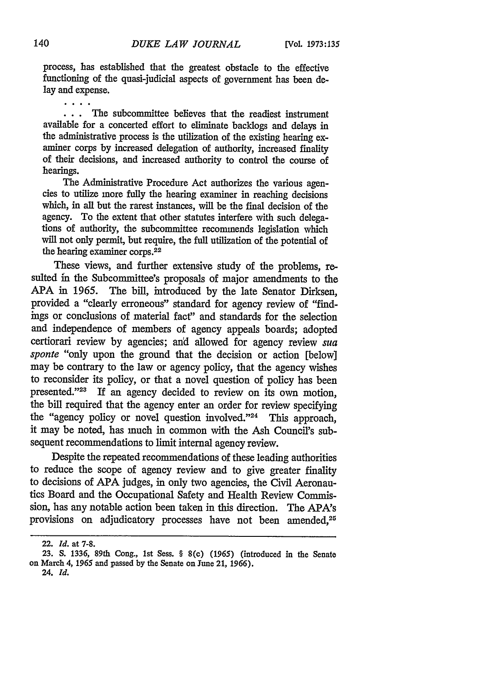process, has established that the greatest obstacle to the effective functioning of the quasi-judicial aspects of government has been delay and expense.

 $\cdots$ The subcommittee believes that the readiest instrument available for a concerted effort to eliminate backlogs and delays in the administrative process is the utilization of the existing hearing examiner corps by increased delegation of authority, increased finality of their decisions, and increased authority to control the course of hearings.

The Administrative Procedure Act authorizes the various agencies to utilize more fully the hearing examiner in reaching decisions which, in all but the rarest instances, will be the final decision of the agency. To the extent that other statutes interfere with such delegations of authority, the subcommittee recommends legislation which will not only permit, but require, the full utilization of the potential of the hearing examiner corps.<sup>22</sup>

These views, and further extensive study of the problems, resulted in the Subcommittee's proposals of major amendments to the **APA** in 1965. The bill, introduced **by** the late Senator Dirksen, provided a "clearly erroneous" standard for agency review of "findings or conclusions of material fact" and standards for the selection and independence of members of agency appeals boards; adopted certiorari review **by** agencies; and allowed for agency review *sua sponte* "only upon the ground that the decision or action [below] may be contrary to the law or agency policy, that the agency wishes to reconsider its policy, or that a novel question of policy has been presented."<sup>23</sup> If an agency decided to review on its own motion, the bill required that the agency enter an order for review specifying the "agency policy or novel question involved."<sup>24</sup> This approach, it may be noted, has much in common with the Ash Council's subsequent recommendations to limit internal agency review.

Despite the repeated recommendations of these leading authorities to reduce the scope of agency review and to give greater finality to decisions of APA judges, in only two agencies, the Civil Aeronautics Board and the Occupational Safety and Health Review Commission, has any notable action been taken in this direction. The APA's provisions on adjudicatory processes have not been amended,<sup>25</sup>

<sup>22.</sup> *Id.* at **7-8.**

**<sup>23.</sup> S. 1336,** 89th Cong., **1st** Sess. **§ 8(c) (1965)** (introduced in the Senate on March 4, **1965** and passed **by** the Senate on **June 21, 1966). 24.** *Id.*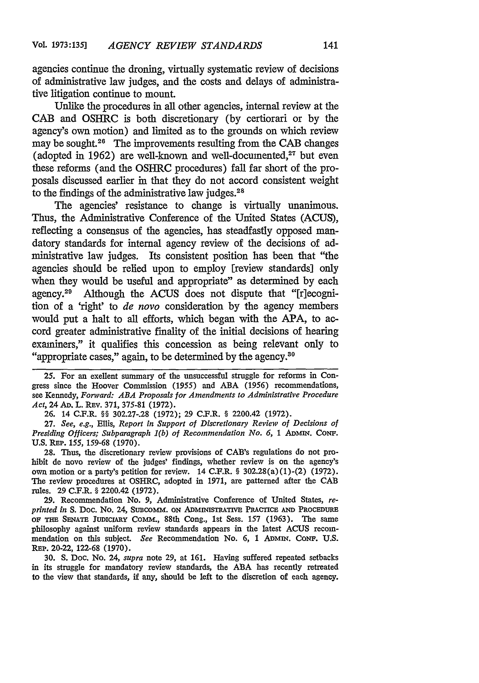agencies continue the droning, virtually systematic review of decisions of administrative law judges, and the costs and delays of administrative litigation continue to mount.

Unlike the procedures in all other agencies, internal review at the **CAB** and OSHRC is both discretionary (by certiorari or by the agency's own motion) and limited as to the grounds on which review may be sought.<sup>26</sup> The improvements resulting from the CAB changes (adopted in 1962) are well-known and well-documented, $27$  but even these reforms (and the OSHRC procedures) fall far short of the proposals discussed earlier in that they do not accord consistent weight to the findings of the administrative law judges.<sup>28</sup>

The agencies' resistance to change is virtually unanimous. Thus, the Administrative Conference of the United States (ACUS), reflecting a consensus of the agencies, has steadfastly opposed mandatory standards for internal agency review of the decisions of administrative law judges. Its consistent position has been that "the agencies should be relied upon to employ [review standards] only when they would be useful and appropriate" as determined by each agency.<sup>29</sup> Although the ACUS does not dispute that "[r]ecognition of a 'right' to *de novo* consideration by the agency members would put a halt to all efforts, which began with the APA, to accord greater administrative finality of the initial decisions of hearing examiners," it qualifies this concession as being relevant only to "appropriate cases," again, to be determined by the agency.<sup>36</sup>

25. For an exellent summary of the unsuccessful struggle for reforms in Congress since the Hoover Commission (1955) and ABA (1956) recommendations, see Kennedy, *Forward: ABA Proposals for Amendments to Administrative Procedure Act,* 24 **AD.** L. REv. 371, 375-81 (1972).

**26.** 14 C.F.R. §§ 302.27-.28 (1972); 29 C.F.R. § 2200.42 (1972).

27. *See, e.g.,* Ellis, *Report in Support of Discretionary Review of Decisions of Presiding Officers; Subparagraph 1(b) of Recommendation No. 6,* 1 *ADMIN.* CONF. U.S. REP. 155, 159-68 (1970).

28. Thus, the discretionary review provisions of CAB's regulations do not prohibit de novo review of the judges' findings, whether review is on the agency's own motion or a party's petition for review.  $14$  C.F.R. § 302.28(a)(1)-(2) (1972). The review procedures at OSHRC, adopted in 1971, are patterned after the CAB rules. 29 C.F.R. § 2200.42 (1972).

29. Recommendation No. 9, Administrative Conference of United States, *reprinted in* **S.** Doc. No. 24, SuBCO mm. ON **ADMINISTRATIVE** PRACTICE **AND** PROCEDURE **OF THE SENATE JUDICIARY COMM., 88th Cong., 1st Sess. 157 (1963). The same** philosophy against uniform review standards appears in the latest ACUS recommendation on this subject. See Recommendation No. 6, 1 ADMIN. CONF. U.S. REP. 20-22, 122-68 (1970).

30. S. Doc. No. 24, *supra* note 29, at 161. Having suffered repeated setbacks in its struggle for mandatory review standards, the **ABA** has recently retreated to the view that standards, if any, should be left to the discretion of each agency.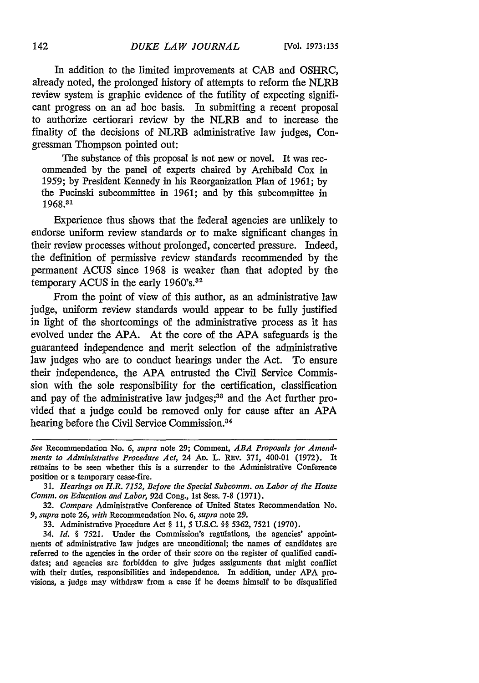In addition to the limited improvements at **CAB** and OSHRC, already noted, the prolonged history of attempts to reform the NLRB review system is graphic evidence of the futility of expecting significant progress on an ad **hoe** basis. In submitting a recent proposal to authorize certiorari review **by** the NLRB and to increase the finality of the decisions of NLRB administrative law judges, Congressman Thompson pointed out:

The substance of this proposal is not new or novel. It was recommended **by** the panel of experts chaired **by** Archibald Cox in **1959; by** President Kennedy in his Reorganization Plan of **1961; by** the Pucinski subcommittee in **1961;** and **by** this subcommittee in **1968. <sup>31</sup>**

Experience thus shows that the federal agencies are unlikely to endorse uniform review standards or to make significant changes in their review processes without prolonged, concerted pressure. Indeed, the definition of permissive review standards recommended **by** the permanent **ACUS** since **1968** is weaker than that adopted **by** the temporary **ACUS** in the early **1960's.32**

From the point of view of this author, as an administrative law judge, uniform review standards would appear to be fully justified in light of the shortcomings of the administrative process as it has evolved under the **APA.** At the core of the **APA** safeguards is the guaranteed independence and merit selection of the administrative law judges who are to conduct hearings under the Act. To ensure their independence, the **APA** entrusted the Civil Service Commission with the sole responsibility for the certification, classification and pay of the administrative law judges;<sup>33</sup> and the Act further provided that a **judge** could be removed only for cause after an **APA** hearing before the Civil Service Commission.<sup>84</sup>

*See* Recommendation No. *6, supra* note **29;** Comment, *ABA Proposals for Amendments to Administrative Procedure Act,* 24 **AD.** L. REv. **371,** 400-01 **(1972).** It remains to be seen whether this is a surrender to the Administrative Conference position or a temporary cease-fire.

**<sup>31.</sup>** *Hearings on H.R. 7152, Before the Special Subcomm. on Labor of the House Comm. on Education and Labor,* **92d** Cong., **1st** Sess. **7-8 (1971).**

**<sup>32.</sup>** *Compare* Administrative Conference of United States Recommendation No. *9, supra* note **26,** *with* Recommendation No. **6,** *supra* note **29.**

**<sup>33.</sup>** Administrative Procedure Act **§ 11,** *5* **U.S.C.** *§§* **5362, 7521 (1970).**

<sup>34.</sup> *Id. §* **7521.** Under the Commission's regulations, the agencies' appointments of administrative law judges are unconditional; the names of candidates are referred to the agencies in the order of their score on the register of qualified candidates; and agencies are forbidden to give judges assignments that might conflict with their duties, responsibilities and independence. In addition, under **APA** provisions, a judge may withdraw from a case **if** he deems himself to be disqualified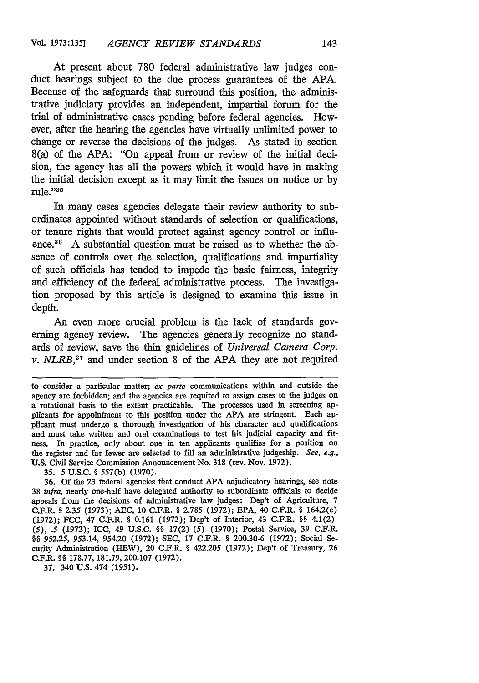At present about 780 federal administrative law judges conduct hearings subject to the due process guarantees of the APA. Because of the safeguards that surround this position, the administrative judiciary provides an independent, impartial forum for the trial of administrative cases pending before federal agencies. However, after the hearing the agencies have virtually unlimited power to change or reverse the decisions of the judges. As stated in section 8(a) of the APA: "On appeal from or review of the initial decision, the agency has all the powers which it would have in making the initial decision except as it may limit the issues on notice or by rule."35

In many cases agencies delegate their review authority to subordinates appointed without standards of selection or qualifications, or tenure rights that would protect against agency control or influence.<sup>36</sup> A substantial question must be raised as to whether the absence of controls over the selection, qualifications and impartiality of such officials has tended to impede the basic fairness, integrity and efficiency of the federal administrative process. The investigation proposed by this article is designed to examine this issue in depth.

An even more crucial problem is the lack of standards governing agency review. The agencies generally recognize no standards of review, save the thin guidelines of *Universal Camera Corp. v. NLRB*,<sup>37</sup> and under section 8 of the APA they are not required

37. 340 U.S. 474 (1951).

to consider a particular matter; *ex parte* communications within and outside the agency are forbidden; and the agencies are required to assign cases to the judges on a rotational basis to the extent practicable. The processes used in screening applicants for appoinfment to this position under the APA are stringent. Each applicant must undergo a thorough investigation of his character and qualifications and must take written and oral examinations to test his judicial capacity and fitness. In practice, only about one in ten applicants qualifies for a position on the register and far fewer are selected to fill an administrative judgeship. *See, e.g.,* U.S. Civil Service Commission Announcement No. 318 (rev. Nov. 1972).

*<sup>35. 5</sup>* U.S.C. **§** 557(b) (1970).

<sup>36.</sup> Of the 23 federal agencies that conduct APA adjudicatory hearings, see note 38 infra, nearly one-half have delegated authority to subordinate officials to decide appeals from the decisions of administrative law judges: Dep't of Agriculture, 7 C.F.R. **§** 2.35 (1973); AEC, 10 C.F.R. **§** 2.785 (1972); EPA, 40 C.F.R. **§** 164.2(c) (1972); FCC, 47 C.F.R. § 0.161 (1972); Dep't of Interior, 43 C.F.R. §§ 4.1(2)-*(5), .5* (1972); ICC, 49 U.S.C. **H8** 17(2)-(5) (1970); Postal Service, 39 C.F.R. **H§** 952.25, 953.14, 954.20 (1972); SEC, 17 C.F.R. **§** 200.30-6 (1972); Social Security Administration (HEW), 20 C.F.R. **§** 422.205 (1972); Dep't of Treasury, 26 C.F.R. **§§** 178.77, 181.79, 200.107 (1972).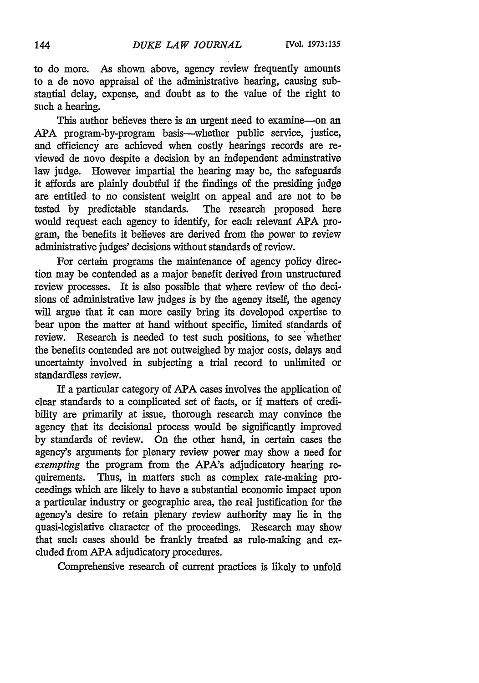to do more. As shown above, agency review frequently amounts to a de novo appraisal of the administrative hearing, causing substantial delay, expense, and doubt as to the value of the right to such a hearing.

This author believes there is an urgent need to examine-on an APA program-by-program basis--whether public service, justice, and efficiency are achieved when costly hearings records are reviewed de novo despite a decision by an independent adminstrativo law judge. However impartial the hearing may be, the safeguards it affords are plainly doubtful if the findings of the presiding judge are entitled to no consistent weight on appeal and are not to **be** tested by predictable standards. The research proposed here would request each agency to identify, for each relevant **APA** program, the benefits it believes are derived from the power to review administrative judges' decisions without standards of review.

For certain programs the maintenance of agency policy direction may be contended as a major benefit derived from unstructured review processes. It is also possible that where review of the decisions of administrative law judges is by the agency itself, the agency will argue that it can more easily bring its developed expertise to bear upon the matter at hand without specific, limited standards of review. Research is needed to test such positions, to see whether the benefits contended are not outweighed by major costs, delays and uncertainty involved in subjecting a trial record to unlimited or standardless review.

If a particular category of **APA** cases involves the application of clear standards to a complicated set of facts, or if matters of credibility are primarily at issue, thorough research may convince the agency that its decisional process would be significantly improved by standards of review. On the other hand, in certain cases the agency's arguments for plenary review power may show a need for *exempting* the program from the APA's adjudicatory hearing requirements. Thus, in matters such as complex rate-making proceedings which are likely to have a substantial economic impact upon a particular industry or geographic area, the real justification for the agency's desire to retain plenary review authority may lie in the quasi-legislative character of the proceedings. Research may show that such cases should be frankly treated as rule-making and excluded from **APA** adjudicatory procedures.

Comprehensive research of current practices is likely to unfold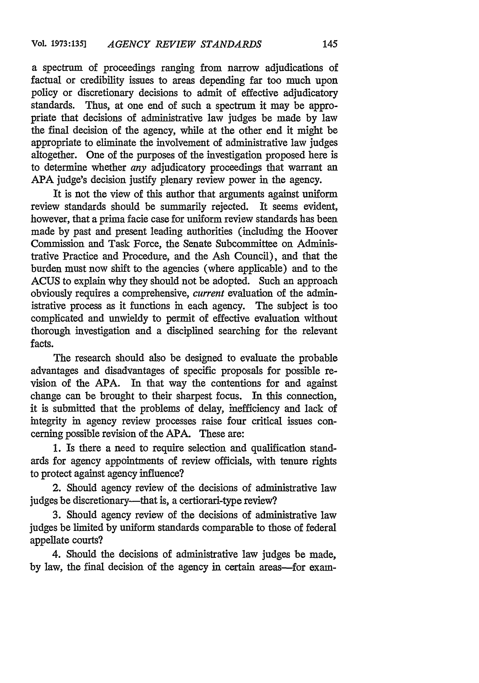a spectrum of proceedings ranging from narrow adjudications of factual or credibility issues to areas depending far too much upon policy or discretionary decisions to admit of effective adjudicatory standards. Thus, at one end of such a spectrum it may be appropriate that decisions of administrative law judges be made by law the final decision of the agency, while at the other end it might be appropriate to eliminate the involvement of administrative law judges altogether. One of the purposes of the investigation proposed here is to determine whether *any* adjudicatory proceedings that warrant an APA judge's decision justify plenary review power in the agency.

It is not the view of this author that arguments against uniform review standards should be summarily rejected. It seems evident, however, that a prima facie case for uniform review standards has been made by past and present leading authorities (including the Hoover Commission and Task Force, the Senate Subcommittee on Administrative Practice and Procedure, and the Ash Council), and that the burden must now shift to the agencies (where applicable) and to the ACUS to explain why they should not be adopted. Such an approach obviously requires a comprehensive, *current* evaluation of the administrative process as it functions in each agency. The subject is too complicated and unwieldy to permit of effective evaluation without thorough investigation and a disciplined searching for the relevant facts.

The research should also be designed to evaluate the probable advantages and disadvantages of specific proposals for possible revision of the APA. In that way the contentions for and against change can be brought to their sharpest focus. In this connection, it is submitted that the problems of delay, inefficiency and lack of integrity in agency review processes raise four critical issues concerning possible revision of the APA. These are:

1. Is there a need to require selection and qualification standards for agency appointments of review officials, with tenure rights to protect against agency influence?

2. Should agency review of the decisions of administrative law judges be discretionary—that is, a certiorari-type review?

3. Should agency review of the decisions of administrative law judges be limited by uniform standards comparable to those of federal appellate courts?

4. Should the decisions of administrative law judges be made, by law, the final decision of the agency in certain areas-for exam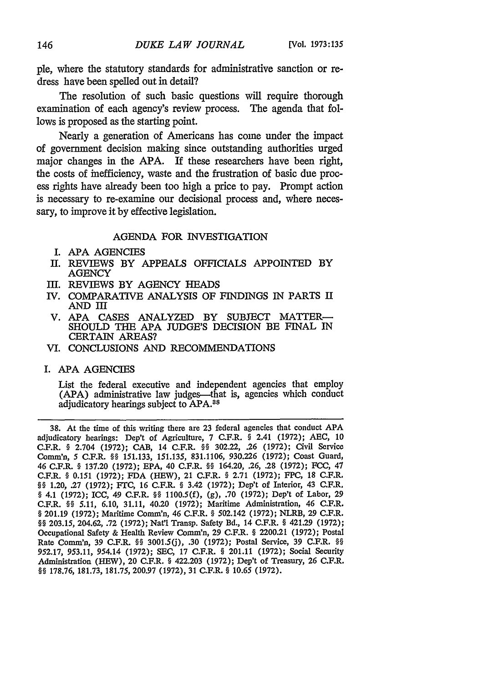ple, where the statutory standards for administrative sanction or redress have been spelled out in detail?

The resolution of such basic questions will require thorough examination of each agency's review process. The agenda that follows is proposed as the starting point.

Nearly a generation of Americans has come under the impact of government decision making since outstanding authorities urged major changes in the APA. If these researchers have been right, the costs of inefficiency, waste and the frustration of basic due process rights have already been too high a price to pay. Prompt action is necessary to re-examine our decisional process and, where necessary, to improve it by effective legislation.

# AGENDA FOR INVESTIGATION

- **I. APA** AGENCIES
- II. REVIEWS BY APPEALS OFFICIALS APPOINTED BY **AGENCY**
- III. REVIEWS BY AGENCY HEADS
- IV. COMPARATIVE ANALYSIS OF FINDINGS IN PARTS II AND I
- V. APA CASES ANALYZED BY SUBJECT MATTER-SHOULD THE APA JUDGE'S DECISION BE FINAL IN CERTAIN AREAS?
- VI. CONCLUSIONS **AND** RECOMMENDATIONS
- I. **APA** AGENCIES

List the federal executive and independent agencies that employ (APA) administrative law judges—that is, agencies which conduct adjudicatory hearings subject to APA.8a

**38.** At the time of this writing there are 23 federal agencies that conduct **APA** adjudicatory hearings: Dep't of Agriculture, 7 C.F.R. § 2.41 **(1972);** AEC, 10 C.F.R. § 2.704 **(1972);** CAB, 14 C.F.R. §§ **302.22, .26** (1972); Civil Service Comm'n, **5** C.F.R. §§ 151.133, 151.135, 831.1106, 930.226 (1972); Coast Guard, 46 C.F.R. § 137.20 (1972); EPA, 40 C.F.R. §§ 164.20, .26, .28 (1972); **FCC, 47** C.F.R. § 0.151 (1972); FDA (HEW), 21 C.F.R. § 2.71 (1972); FPC, 18 C.F.R. §§ 1.20, .27 (1972); FTC, 16 C.F.R. § 3.42 (1972); Dep't of Interior, 43 C.F.R. § 4.1 (1972); ICC, 49 C.F.R. §§ 1100.5(f), (g), .70 (1972); Dep't of Labor, **29** C.F.R. §§ *5.11,* 6.10, 31.11, 40.20 (1972); Maritime Administration, 46 C.F.R. § 201.19 (1972); Maritime Comn'n, 46 C.F.R. § 502.142 (1972); NLRB, **29** C.F.R. §§ 203.15, 204.62, .72 (1972); Nat'1 Transp. Safety Bd., 14 C.F.R. § 421.29 **(1972);** Occupational Safety & Health Review Comm'n, **29** C.F.R. **§** 2200.21 **(1972);** Postal Rate Comm'n, 39 C.F.R. **H§** 3001.5(j), .30 (1972); Postal Service, 39 C.F.R. **§** 952.17, *953.11,* 954.14 (1972); SEC, 17 C.F.R. § 201.11 (1972); Social Security Administration (HEW), 20 C.F.R. **§** 422.203 (1972); Dep't of Treasury, **26** C.F.R. **§** 178.76, 181.73, 181.75, 200.97 (1972), 31 C.F.R. § 10.65 (1972).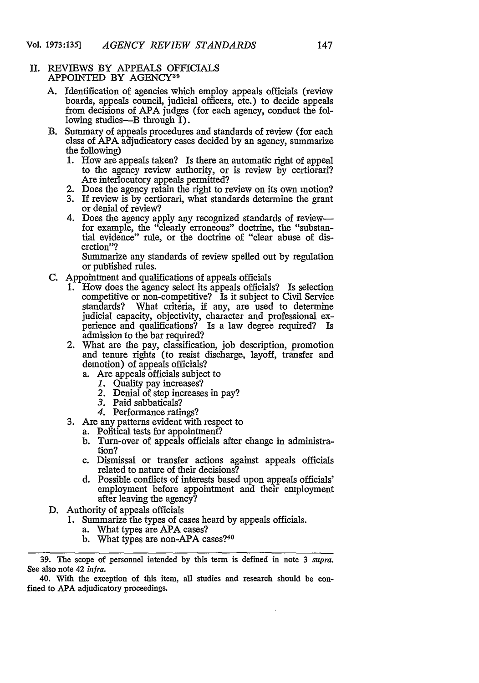#### II. REVIEWS BY APPEALS OFFICIALS APPOINTED BY AGENCY<sup>39</sup>

- A. Identification of agencies which employ appeals officials (review boards, appeals council, judicial officers, etc.) to decide appeals from decisions of APA judges (for each agency, conduct the following studies— $B$  through  $\tilde{I}$ ).
- B. Summary of appeals procedures and standards of review (for each class of APA adjudicatory cases decided by an agency, summarize the following)
	- 1. How are appeals taken? Is there an automatic right of appeal to the agency review authority, or is review by certiorari? Are interlocutory appeals permitted?
	- 2. Does the agency retain the right to review on its own motion?
	- 3. If review is by certiorari, what standards determine the grant or denial of review?
	- 4. Does the agency apply any recognized standards of reviewfor example, the "clearly erroneous" doctrine, the "substantial evidence" rule, or the doctrine of "clear abuse of discretion"?

Summarize any standards of review spelled out by regulation or published rules.

- C. Appointment and qualifications of appeals officials
	- 1. How does the agency select its appeals officials? Is selection competitive or non-competitive? Is it subject to Civil Service standards? What criteria, if any, are used to determine judicial capacity, objectivity, character and professional experience and qualifications? Is a law degree required? Is admission to the bar required?<br>2. What are the pay, classification, job description, promotion
	- 2. What are the pay, classification, job description, promotion and tenure rights (to resist discharge, layoff, transfer and demotion) of appeals officials?
		- a. Are appeals officials subject to
			- *1.* Quality pay increases?
			- *2.* Denial of step increases in pay?
			- 3. Paid sabbaticals?<br>4. Performance ratings?
			-
	- 3. Are any patterns evident with respect to a. Political tests for appointment?
		-
		- b. Turn-over of appeals officials after change in administration?
		- c. Dismissal or transfer actions against appeals officials related to nature of their decisions?
		- d. Possible conflicts of interests based upon appeals officials' employment before appointment and their employment after leaving the agency?
- D. Authority of appeals officials
	- **1.** Summarize the types of cases heard by appeals officials.
		- a. What types are APA cases?
		- b. What types are non-APA cases?<sup>40</sup>

**<sup>39.</sup>** The scope of personnel intended by this term is defined in note 3 *supra.* See also note 42 *infra.*

<sup>40.</sup> With the exception of this item, all studies and research should be confined to **APA** adjudicatory proceedings.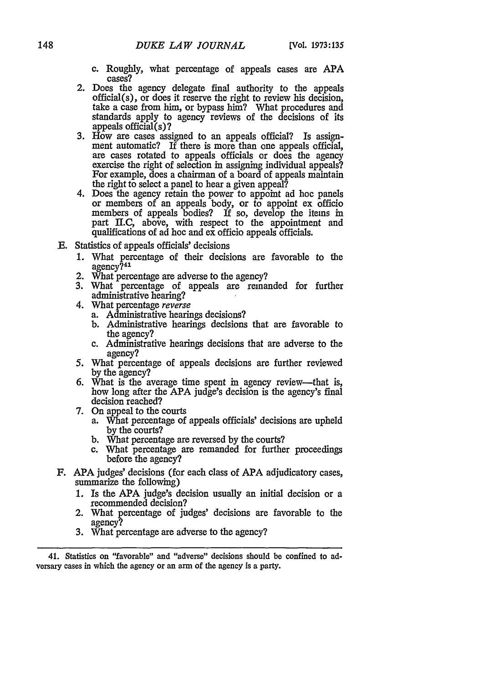- c. Roughly, what percentage of appeals cases are APA cases?
- 2. Does the agency delegate final authority to the appeals official(s), or does it reserve the right to review his decision, take a case from him, or bypass him? What procedures and standards apply to agency reviews of the decisions of its appeals official(s)?
- 3. How are cases assigned to an appeals official? Is assignment automatic? If there is more than one appeals official, are cases rotated to appeals officials or does the agency exercise the right of selection in assigning individual appeals?<br>For example, does a chairman of a board of appeals maintain For example, does a chairman of a board of appeals maintain<br>the right to select a panel to hear a given appeal?
- 4. Does the agency retain the power to appoint ad hoe panels or members of an appeals body, or to appoint ex officio members of appeals bodies? If so, develop the items in part II.C, above, with respect to the appointment and qualifications of ad hoc and ex officio appeals officials.
- **E.** Statistics of appeals officials' decisions
	- 1. What percentage of their decisions are favorable to the agency?<sup>41</sup>
	- 2. What percentage are adverse to the agency?
	- 3. What percentage of appeals are remanded for further administrative hearing?
	- 4. What percentage *reverse*
		- a. Administrative hearings decisions?
		- b. Administrative hearings decisions that are favorable to the agency?
		- c. Administrative hearings decisions that are adverse to the agency?
	- *5.* What percentage of appeals decisions are further reviewed by the agency?
	- 6. What is the average time spent in agency review-that is, how long after the APA judge's decision is the agency's final decision reached?
	- 7. On appeal to the courts
		- a. What percentage of appeals officials' decisions are upheld by the courts?
		- b. What percentage are reversed by the courts?
		- c. What percentage are remanded for further proceedings before the agency?
- F. APA judges' decisions (for each class of APA adjudicatory cases, summarize the following)
	- **1.** Is the APA judge's decision usually an initial decision or a recommended decision?
	- 2. What percentage of judges' decisions are favorable to the
	- 3. What percentage are adverse to the agency?

<sup>41.</sup> Statistics on "favorable" and "adverse" decisions should be confined to **ad**versary cases in which the agency or an arm of the agency is a party.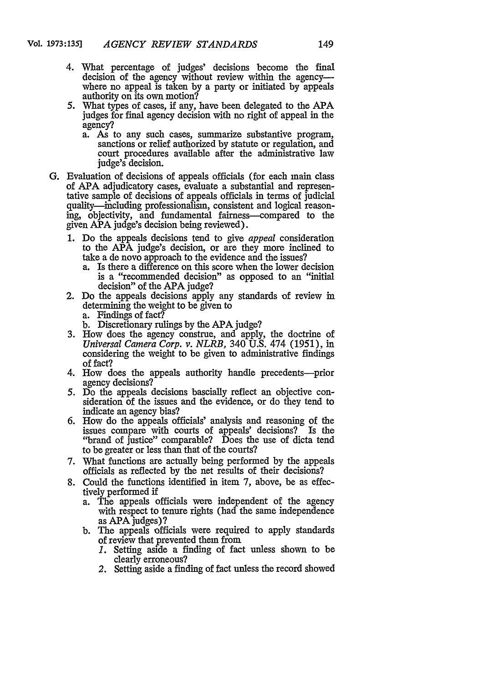- 4. What percentage of judges' decisions become the final decision of the agency without review within the agencywhere no appeal is taken by a party or initiated by appeals authority on its own motion?
- 5. What types of cases, if any, have been delegated to the **APA** judges for final agency decision with no right of appeal in the agency?<br>a. As to any such cases, summarize substantive program,
	- sanctions or relief authorized by statute or regulation, and court procedures available after the administrative law judge's decision.
- G. Evaluation of decisions of appeals officials (for each main class of APA adjudicatory cases, evaluate a substantial and representative sample of decisions of appeals officials in terms of judicial quality-including professionalism, consistent and logical reasoning, objectivity, and fundamental fairness-compared to the given APA judge's decision being reviewed).
	- 1. Do the appeals decisions tend to give *appeal* consideration to the APA judge's decision, or are they more inclined to take a de novo approach to the evidence and the issues?
		- a. Is there a difference on this score when the lower decision is a "recommended decision" as opposed to an "initial decision" of the APA judge?
	- 2. Do the appeals decisions apply any standards of review in determining the weight to be given to
		- a. Findings of fact?
		- b. Discretionary rulings by the APA judge?
	- 3. How does the agency construe, and apply, the doctrine of *Universal Camera Corp. v. NLRB,* 340 U.S. 474 (1951), in considering the weight to be given to administrative findings of fact?
	- 4. How does the appeals authority handle precedents---prior agency decisions?
	- *5.* Do the appeals decisions bascially reflect an objective consideration of the issues and the evidence, or do they tend to indicate an agency bias?
	- 6. How do the appeals officials' analysis and reasoning of the issues compare with courts of appeals' decisions? Is the "brand of justice" comparable? Does the use of dicta tend to be greater or less than that of the courts?
	- 7. What functions are actually being performed by the appeals officials as reflected by the net results of their decisions?
	- 8. Could the functions identified in item 7, above, be as effectively performed if
		- a. The appeals officials were independent of the agency with respect to tenure rights (had the same independence as APA judges)?
		- b. The appeals officials were required to apply standards of review that prevented them from
			- *1.* Setting aside a finding of fact unless shown to be clearly erroneous?
			- *2.* Setting aside a finding of fact unless the record showed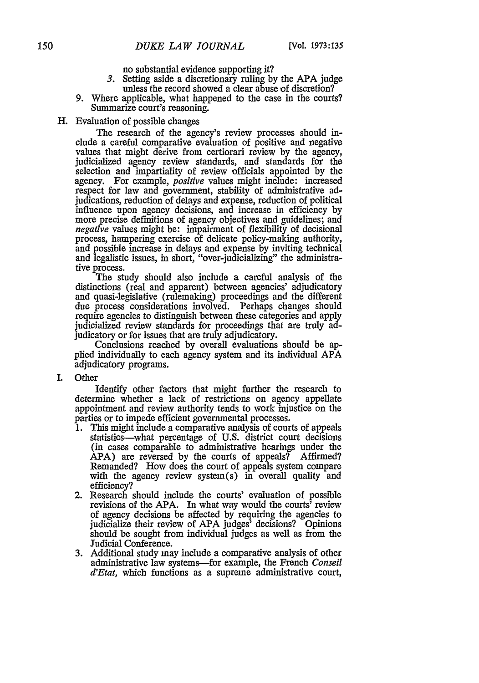no substantial evidence supporting it?

- *3.* Setting aside a discretionary ruling by the APA judge unless the record showed a clear abuse of discretion?
- 9. Where applicable, what happened to the case in the courts? Summarize court's reasoning.
- H. Evaluation of possible changes

The research of the agency's review processes should inelude a careful comparative evaluation of positive and negative values that might derive from certiorari review by the agency, judicialized agency review standards, and standards for the selection and impartiality of review officials appointed by the agency. For example, *positive* values might include: increased respect for law and government, stability of administrative adjudications, reduction of delays and expense, reduction of political influence upon agency decisions, and increase in efficiency by more precise definitions of agency objectives and guidelines; and *negative* values might be: impairment of flexibility of decisional process, hampering exercise of delicate policy-making authority, and possible increase in delays and expense by inviting technical and legalistic issues, in short, "over-judicializing" the administrative process.

The study should also include a careful analysis of the distinctions (real and apparent) between agencies' adjudicatory and quasi-legislative (rulemaking) proceedings and the different due process considerations involved. Perhaps changes should require agencies to distinguish between these categories and apply judicialized review standards for proceedings that are truly ad-

judicatory or for issues that are truly adjudicatory. Conclusions reached by overall evaluations should be applied individually to each agency system and its individual APA adjudicatory programs.

I. Other

Identify other factors that might further the research to determine whether a lack of restrictions on agency appellate appointment and review authority tends to work injustice on the

- parties or to impede efficient governmental processes. 1. This might include a comparative analysis of courts of appeals statistics-what percentage of U.S. district court decisions (in cases comparable to administrative hearings under the APA) are reversed by the courts of appeals? Affirmed? Remanded? How does the court of appeals system compare with the agency review system(s) in overall quality and efficiency?
- 2. Research should include the courts' evaluation of possible revisions of the APA. In what way would the courts' review of agency decisions be affected by requiring the agencies to judicialize their review of APA judges' decisions? Opinions should be sought from individual judges as well as from the Judicial Conference.
- 3. Additional study may include a comparative analysis of other administrative law systems-for example, the French *Conseil d'Etat,* which functions as a supreme administrative court,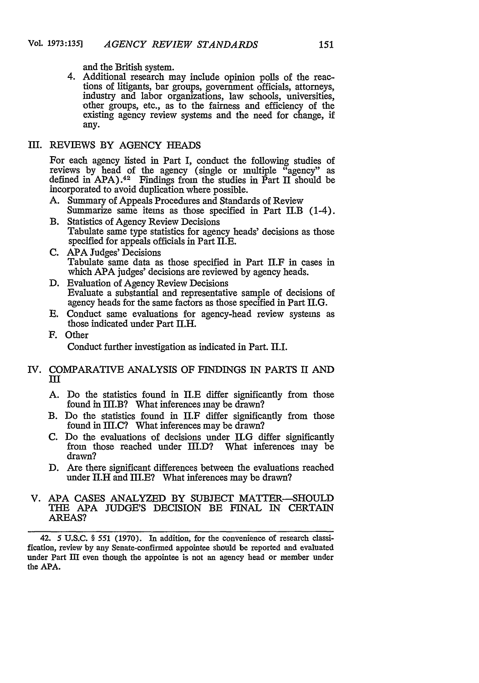and the British system.

4. Additional research may include opinion polls of the reactions of litigants, bar groups, government officials, attorneys, industry and labor organizations, law schools, universities, other groups, etc., as to the fairness and efficiency of the existing agency review systems and the need for change, if any.

# III. REVIEWS BY AGENCY HEADS

For each agency listed in Part I, conduct the following studies of reviews by head of the agency (single or multiple "agency" as defined in APA).<sup>42</sup> Findings from the studies in Part **H** should be incorporated to avoid duplication where possible.

- A. Summary of Appeals Procedures and Standards of Review Summarize same items as those specified in Part II.B (1-4).
- B. Statistics of Agency Review Decisions Tabulate same type statistics for agency heads' decisions as those specified for appeals officials in Part II.E.
- C. APA Judges' Decisions Tabulate same data as those specified in Part II.F in cases in which APA judges' decisions are reviewed by agency heads.
- D. Evaluation of Agency Review Decisions Evaluate a substantial and representative sample of decisions of agency heads for the same factors as those specified in Part lI.G.
- E. Conduct same evaluations for agency-head review systems as those indicated under Part II.H.
- F. Other

Conduct further investigation as indicated in Part. H.I.

### IV. COMPARATIVE ANALYSIS OF FINDINGS IN PARTS II **AND III**

- A. Do the statistics found in **II.E** differ significantly from those found in III.B? What inferences may be drawn?
- B. Do the statistics found in II.F differ significantly from those found in  $III.C?$  What inferences may be drawn?
- C. Do the evaluations of decisions under **ll.G** differ significantly from those reached under HI.D? What inferences may be drawn?
- **D.** Are there significant differences between the evaluations reached under II.H and III.E? What inferences may be drawn?
- V. **APA** CASES **ANALYZED** BY SUBJECT MATTER-SHOULD THE APA JUDGE'S DECISION BE FINAL IN CERTAIN AREAS?

42. 5 U.S.C. § 551 (1970). In addition, for the convenience of research classification, review by any Senate-confirmed appointee should be reported and evaluated under Part III even though the appointee is not an agency head or member under the APA.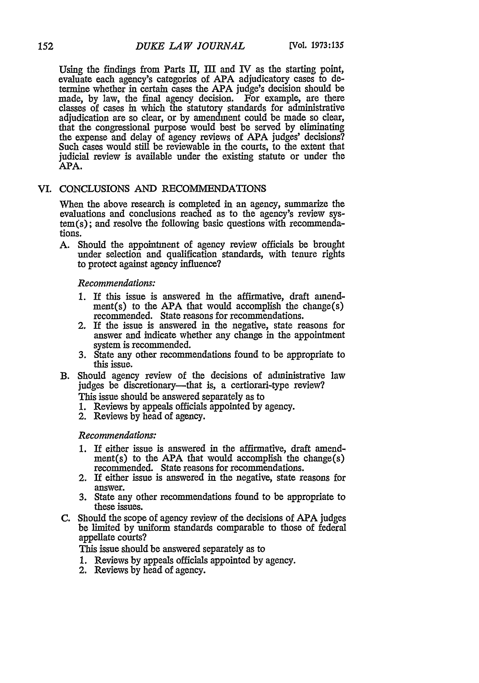Using the findings from Parts II, M and IV as the starting point, evaluate each agency's categories of APA adjudicatory cases to determine whether in certain cases the APA judge's decision should be made, by law, the final agency decision. For example, are there classes of cases in which the statutory standards for administrative adjudication are so clear, or by amendment could be made so clear, that the congressional purpose would best be served by eliminating the expense and delay of agency reviews of APA judges' decisions? Such cases would still be reviewable in the courts, to the extent that judicial review is available under the existing statute or under the APA.

# VI. CONCLUSIONS *AND* RECOMMENDATIONS

When the above research is completed in an agency, summarize the evaluations and conclusions reached as to the agency's review system(s); and resolve the following basic questions with recommendations.

A. Should the appointment of agency review officials be brought under selection and qualification standards, with tenure rights to protect against agency influence?

#### *Recommendations:*

- 1. If this issue is answered in the affirmative, draft amendment(s) to the APA that would accomplish the change(s) recommended. State reasons for recommendations.
- 2. If the issue is answered in the negative, state reasons for answer and indicate whether any change in the appointment system is recommended.
- 3. State any other recommendations found to be appropriate to this issue.
- B. Should agency review of the decisions of administrative law judges be discretionary—that is, a certiorari-type review? This issue should be answered separately as to
	-
	- 1. Reviews by appeals officials appointed by agency.
	- 2. Reviews by head of agency.

# *Recommendations:*

- **1.** If either issue is answered in the affirmative, draft amendment(s) to the APA that would accomplish the change(s) recommended. State reasons for recommendations.
- 2. If either issue is answered in the negative, state reasons for answer.
- **3.** State any other recommendations found to be appropriate to these issues.
- C. Should the scope of agency review of the decisions of APA judges be limited by uniform standards comparable to those of federal appellate courts?

This issue should be answered separately as to

- 1. Reviews by appeals officials appointed by agency.
- 2. Reviews by head of agency.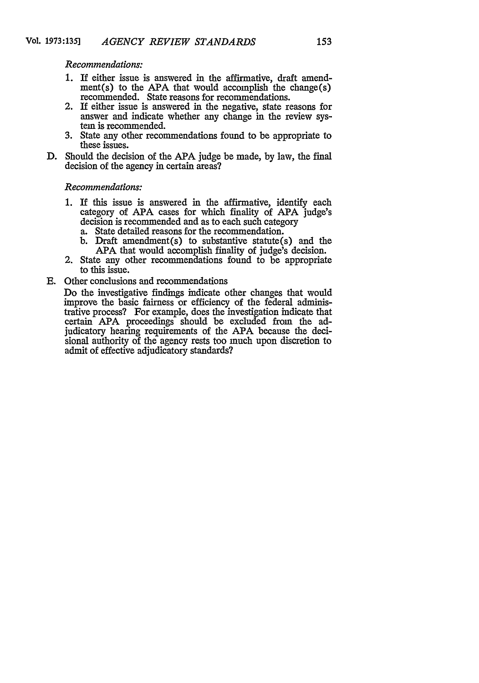*Recommendations:*

- **1.** If either issue is answered in the affirmative, draft amend $ment(s)$  to the APA that would accomplish the change $(s)$ recommended. State reasons for recommendations.
- 2. If either issue is answered in the negative, state reasons for answer and indicate whether any change in the review system is recommended.
- 3. State any other recommendations found to be appropriate to these issues.
- D. Should the decision of the APA judge be made, by law, the final decision of the agency in certain areas?

#### *Recommendations:*

- 1. **If** this issue is answered in the affirmative, identify each category of APA cases for which finality of APA judge's decision is recommended and as to each such category
	- a. State detailed reasons for the recommendation.
	- b. Draft amendment(s) to substantive statute(s) and the APA that would accomplish finality of judge's decision.
- 2. State any other recommendations found to be appropriate to this issue.
- E. Other conclusions and recommendations

Do the investigative findings indicate other changes that would improve the basic fairness or efficiency of the federal administrative process? For example, does the investigation indicate that certain APA proceedings should be excluded from the adjudicatory hearing requirements of the APA because the decisional authority of the agency rests too much upon discretion to admit of effective adjudicatory standards?